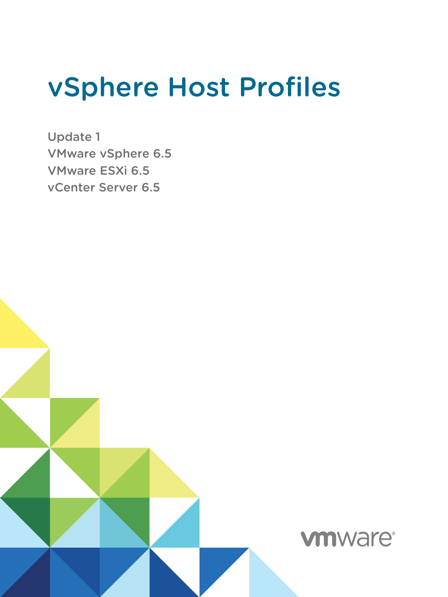# vSphere Host Profiles

Update 1 VMware vSphere 6.5 VMware ESXi 6.5 vCenter Server 6.5

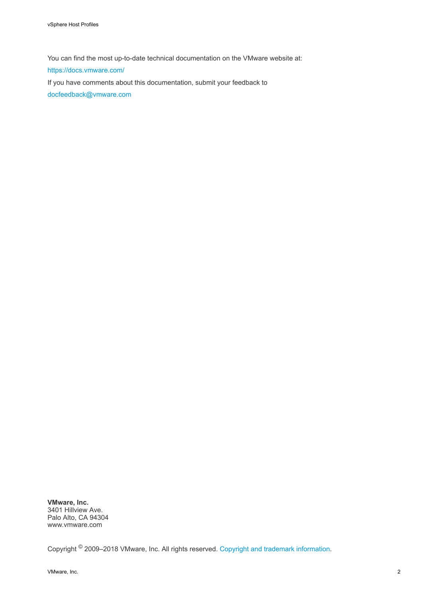You can find the most up-to-date technical documentation on the VMware website at:

<https://docs.vmware.com/>

If you have comments about this documentation, submit your feedback to

[docfeedback@vmware.com](mailto:docfeedback@vmware.com)

**VMware, Inc.** 3401 Hillview Ave. Palo Alto, CA 94304 www.vmware.com

Copyright <sup>©</sup> 2009–2018 VMware, Inc. All rights reserved. [Copyright and trademark information](http://pubs.vmware.com/copyright-trademark.html).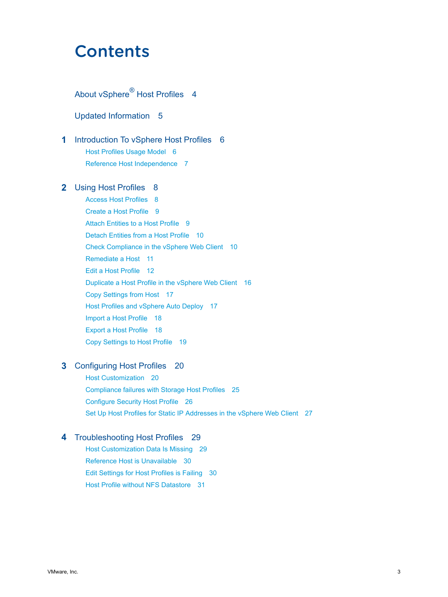## **Contents**

## About vSphere<sup>®</sup> [Host Profiles 4](#page-3-0)

[Updated Information 5](#page-4-0)

**1** [Introduction To vSphere Host Profiles 6](#page-5-0) Ho[st Profiles Usage Model 6](#page-5-0) Ref[erence Host Independence 7](#page-6-0)

## **2** [Using Host Profiles 8](#page-7-0)

Ac[cess Host Profiles 8](#page-7-0) Cre[ate a Host Profile 9](#page-8-0) Att[ach Entities to a Host Profile 9](#page-8-0) Det[ach Entities from a Host Profile 10](#page-9-0) Ch[eck Compliance in the vSphere Web Client 10](#page-9-0) Re[mediate a Host 11](#page-10-0) Edi[t a Host Profile 12](#page-11-0) Du[plicate a Host Profile in the vSphere Web Client 16](#page-15-0) Co[py Settings from Host 17](#page-16-0) Ho[st Profiles and vSphere Auto Deploy 17](#page-16-0) Im[port a Host Profile 18](#page-17-0) Ex[port a Host Profile 18](#page-17-0) Co[py Settings to Host Profile 19](#page-18-0)

## **3** [Configuring Host Profiles 20](#page-19-0)

Ho[st Customization 20](#page-19-0) Co[mpliance failures with Storage Host Profiles 25](#page-24-0) Co[nfigure Security Host Profile 26](#page-25-0) Set [Up Host Profiles for Static IP Addresses in the vSphere Web Client 27](#page-26-0)

## **4** [Troubleshooting Host Profiles 29](#page-28-0)

Ho[st Customization Data Is Missing 29](#page-28-0) Ref[erence Host is Unavailable 30](#page-29-0) Edi[t Settings for Host Profiles is Failing 30](#page-29-0) Ho[st Profile without NFS Datastore 31](#page-30-0)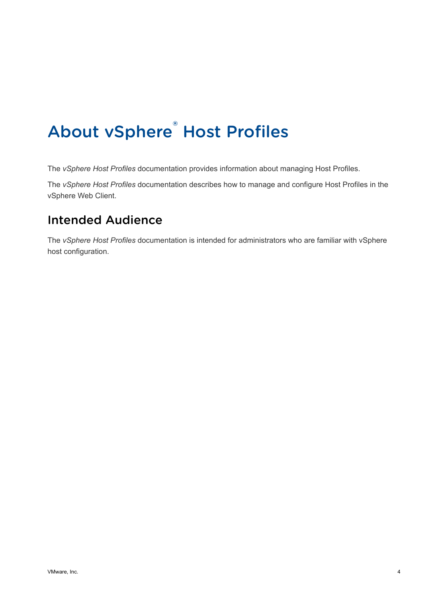# <span id="page-3-0"></span>About vSphere® Host Profiles

The *vSphere Host Profiles* documentation provides information about managing Host Profiles.

The *vSphere Host Profiles* documentation describes how to manage and configure Host Profiles in the vSphere Web Client.

## Intended Audience

The *vSphere Host Profiles* documentation is intended for administrators who are familiar with vSphere host configuration.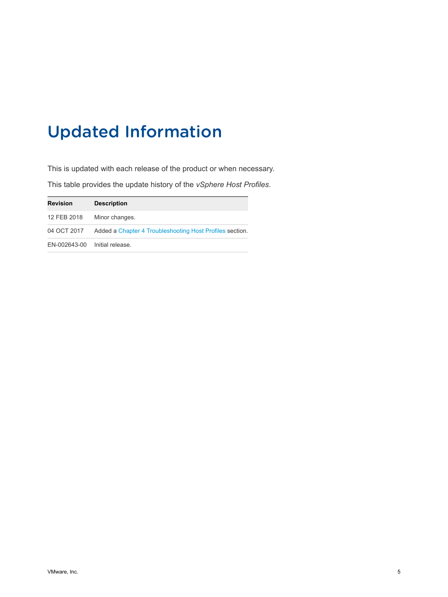## <span id="page-4-0"></span>Updated Information

This is updated with each release of the product or when necessary. This table provides the update history of the *vSphere Host Profiles*.

| <b>Revision</b>               | <b>Description</b>                                       |
|-------------------------------|----------------------------------------------------------|
| 12 FEB 2018                   | Minor changes.                                           |
| 04 OCT 2017                   | Added a Chapter 4 Troubleshooting Host Profiles section. |
| EN-002643-00 Initial release. |                                                          |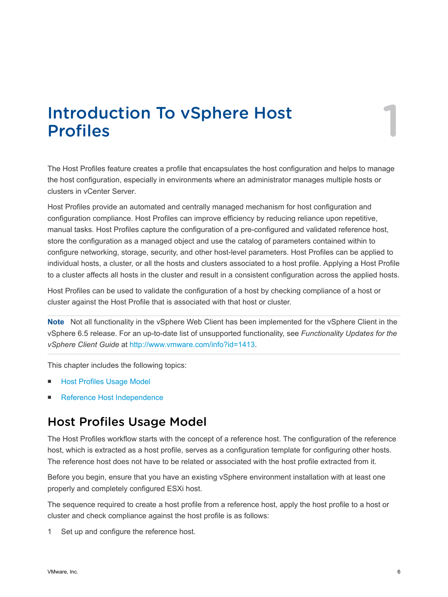# <span id="page-5-0"></span>Introduction To vSphere Host<br>Profiles

The Host Profiles feature creates a profile that encapsulates the host configuration and helps to manage the host configuration, especially in environments where an administrator manages multiple hosts or clusters in vCenter Server.

Host Profiles provide an automated and centrally managed mechanism for host configuration and configuration compliance. Host Profiles can improve efficiency by reducing reliance upon repetitive, manual tasks. Host Profiles capture the configuration of a pre-configured and validated reference host, store the configuration as a managed object and use the catalog of parameters contained within to configure networking, storage, security, and other host-level parameters. Host Profiles can be applied to individual hosts, a cluster, or all the hosts and clusters associated to a host profile. Applying a Host Profile to a cluster affects all hosts in the cluster and result in a consistent configuration across the applied hosts.

Host Profiles can be used to validate the configuration of a host by checking compliance of a host or cluster against the Host Profile that is associated with that host or cluster.

**Note** Not all functionality in the vSphere Web Client has been implemented for the vSphere Client in the vSphere 6.5 release. For an up-to-date list of unsupported functionality, see *Functionality Updates for the vSphere Client Guide* at [http://www.vmware.com/info?id=1413.](http://www.vmware.com/info?id=1413)

This chapter includes the following topics:

- **Host Profiles Usage Model**
- [Reference Host Independence](#page-6-0)

## Host Profiles Usage Model

The Host Profiles workflow starts with the concept of a reference host. The configuration of the reference host, which is extracted as a host profile, serves as a configuration template for configuring other hosts. The reference host does not have to be related or associated with the host profile extracted from it.

Before you begin, ensure that you have an existing vSphere environment installation with at least one properly and completely configured ESXi host.

The sequence required to create a host profile from a reference host, apply the host profile to a host or cluster and check compliance against the host profile is as follows:

1 Set up and configure the reference host.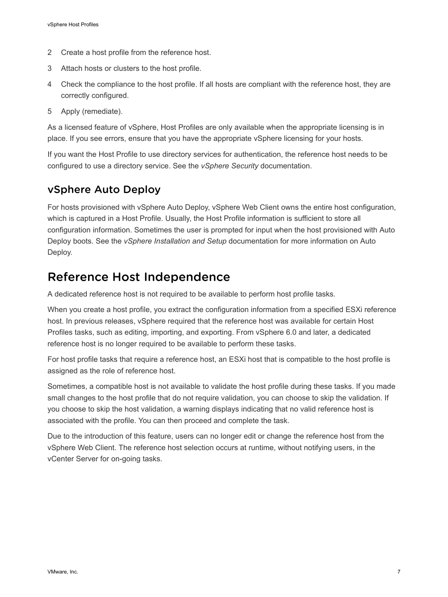- <span id="page-6-0"></span>2 Create a host profile from the reference host.
- 3 Attach hosts or clusters to the host profile.
- 4 Check the compliance to the host profile. If all hosts are compliant with the reference host, they are correctly configured.
- 5 Apply (remediate).

As a licensed feature of vSphere, Host Profiles are only available when the appropriate licensing is in place. If you see errors, ensure that you have the appropriate vSphere licensing for your hosts.

If you want the Host Profile to use directory services for authentication, the reference host needs to be configured to use a directory service. See the *vSphere Security* documentation.

## vSphere Auto Deploy

For hosts provisioned with vSphere Auto Deploy, vSphere Web Client owns the entire host configuration, which is captured in a Host Profile. Usually, the Host Profile information is sufficient to store all configuration information. Sometimes the user is prompted for input when the host provisioned with Auto Deploy boots. See the *vSphere Installation and Setup* documentation for more information on Auto Deploy.

## Reference Host Independence

A dedicated reference host is not required to be available to perform host profile tasks.

When you create a host profile, you extract the configuration information from a specified ESXi reference host. In previous releases, vSphere required that the reference host was available for certain Host Profiles tasks, such as editing, importing, and exporting. From vSphere 6.0 and later, a dedicated reference host is no longer required to be available to perform these tasks.

For host profile tasks that require a reference host, an ESXi host that is compatible to the host profile is assigned as the role of reference host.

Sometimes, a compatible host is not available to validate the host profile during these tasks. If you made small changes to the host profile that do not require validation, you can choose to skip the validation. If you choose to skip the host validation, a warning displays indicating that no valid reference host is associated with the profile. You can then proceed and complete the task.

Due to the introduction of this feature, users can no longer edit or change the reference host from the vSphere Web Client. The reference host selection occurs at runtime, without notifying users, in the vCenter Server for on-going tasks.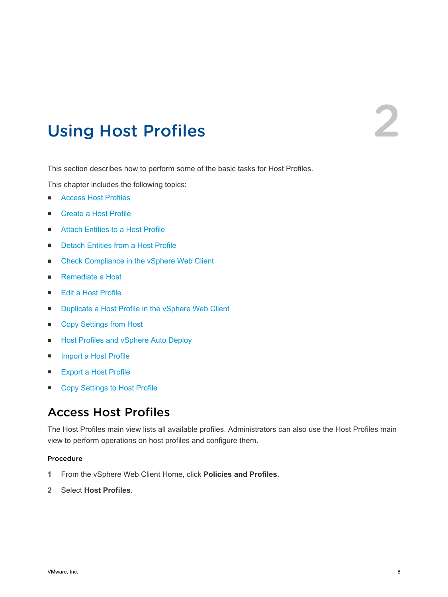# <span id="page-7-0"></span>Using Host Profiles

This section describes how to perform some of the basic tasks for Host Profiles.

This chapter includes the following topics:

- Access Host Profiles
- [Create a Host Profile](#page-8-0)
- [Attach Entities to a Host Profile](#page-8-0)
- [Detach Entities from a Host Profile](#page-9-0)
- [Check Compliance in the vSphere Web Client](#page-9-0)
- [Remediate a Host](#page-10-0)
- [Edit a Host Profile](#page-11-0)
- [Duplicate a Host Profile in the vSphere Web Client](#page-15-0)
- [Copy Settings from Host](#page-16-0)
- [Host Profiles and vSphere Auto Deploy](#page-16-0)
- [Import a Host Profile](#page-17-0)
- [Export a Host Profile](#page-17-0)
- [Copy Settings to Host Profile](#page-18-0)

## Access Host Profiles

The Host Profiles main view lists all available profiles. Administrators can also use the Host Profiles main view to perform operations on host profiles and configure them.

#### Procedure

- **1** From the vSphere Web Client Home, click **Policies and Profiles**.
- **2** Select **Host Profiles**.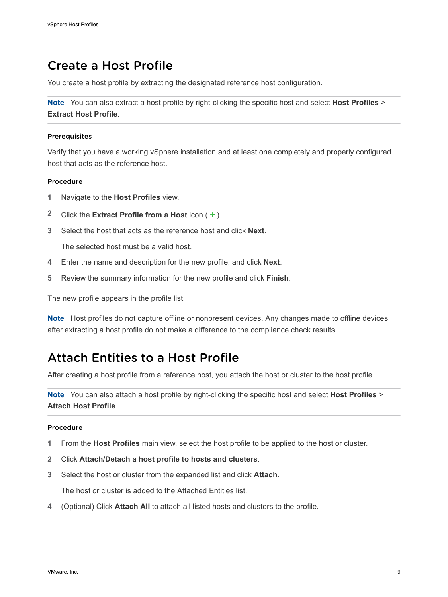## <span id="page-8-0"></span>Create a Host Profile

You create a host profile by extracting the designated reference host configuration.

**Note** You can also extract a host profile by right-clicking the specific host and select **Host Profiles** > **Extract Host Profile**.

#### Prerequisites

Verify that you have a working vSphere installation and at least one completely and properly configured host that acts as the reference host.

#### Procedure

- **1** Navigate to the **Host Profiles** view.
- **2** Click the **Extract Profile from a Host** icon  $($   $\textbf{+}$   $)$ .
- **3** Select the host that acts as the reference host and click **Next**.

The selected host must be a valid host.

- **4** Enter the name and description for the new profile, and click **Next**.
- **5** Review the summary information for the new profile and click **Finish**.

The new profile appears in the profile list.

**Note** Host profiles do not capture offline or nonpresent devices. Any changes made to offline devices after extracting a host profile do not make a difference to the compliance check results.

## Attach Entities to a Host Profile

After creating a host profile from a reference host, you attach the host or cluster to the host profile.

**Note** You can also attach a host profile by right-clicking the specific host and select **Host Profiles** > **Attach Host Profile**.

#### Procedure

- **1** From the **Host Profiles** main view, select the host profile to be applied to the host or cluster.
- **2** Click **Attach/Detach a host profile to hosts and clusters**.
- **3** Select the host or cluster from the expanded list and click **Attach**.

The host or cluster is added to the Attached Entities list.

**4** (Optional) Click **Attach All** to attach all listed hosts and clusters to the profile.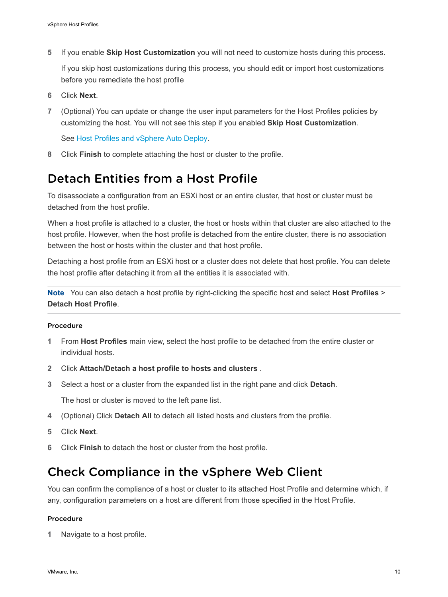<span id="page-9-0"></span>**5** If you enable **Skip Host Customization** you will not need to customize hosts during this process.

If you skip host customizations during this process, you should edit or import host customizations before you remediate the host profile

- **6** Click **Next**.
- **7** (Optional) You can update or change the user input parameters for the Host Profiles policies by customizing the host. You will not see this step if you enabled **Skip Host Customization**.

See [Host Profiles and vSphere Auto Deploy](#page-16-0).

**8** Click **Finish** to complete attaching the host or cluster to the profile.

## Detach Entities from a Host Profile

To disassociate a configuration from an ESXi host or an entire cluster, that host or cluster must be detached from the host profile.

When a host profile is attached to a cluster, the host or hosts within that cluster are also attached to the host profile. However, when the host profile is detached from the entire cluster, there is no association between the host or hosts within the cluster and that host profile.

Detaching a host profile from an ESXi host or a cluster does not delete that host profile. You can delete the host profile after detaching it from all the entities it is associated with.

**Note** You can also detach a host profile by right-clicking the specific host and select **Host Profiles** > **Detach Host Profile**.

### Procedure

- **1** From **Host Profiles** main view, select the host profile to be detached from the entire cluster or individual hosts.
- **2** Click **Attach/Detach a host profile to hosts and clusters** .
- **3** Select a host or a cluster from the expanded list in the right pane and click **Detach**.

The host or cluster is moved to the left pane list.

- **4** (Optional) Click **Detach All** to detach all listed hosts and clusters from the profile.
- **5** Click **Next**.
- **6** Click **Finish** to detach the host or cluster from the host profile.

## Check Compliance in the vSphere Web Client

You can confirm the compliance of a host or cluster to its attached Host Profile and determine which, if any, configuration parameters on a host are different from those specified in the Host Profile.

#### Procedure

**1** Navigate to a host profile.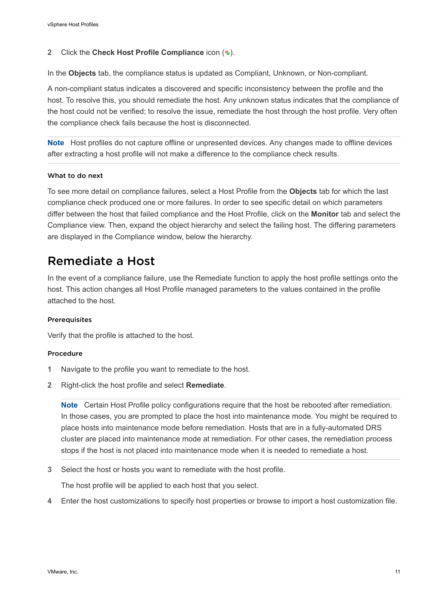### <span id="page-10-0"></span>**2** Click the **Check Host Profile Compliance** icon (**a**).

In the **Objects** tab, the compliance status is updated as Compliant, Unknown, or Non-compliant.

A non-compliant status indicates a discovered and specific inconsistency between the profile and the host. To resolve this, you should remediate the host. Any unknown status indicates that the compliance of the host could not be verified; to resolve the issue, remediate the host through the host profile. Very often the compliance check fails because the host is disconnected.

**Note** Host profiles do not capture offline or unpresented devices. Any changes made to offline devices after extracting a host profile will not make a difference to the compliance check results.

#### What to do next

To see more detail on compliance failures, select a Host Profile from the **Objects** tab for which the last compliance check produced one or more failures. In order to see specific detail on which parameters differ between the host that failed compliance and the Host Profile, click on the **Monitor** tab and select the Compliance view. Then, expand the object hierarchy and select the failing host. The differing parameters are displayed in the Compliance window, below the hierarchy.

## Remediate a Host

In the event of a compliance failure, use the Remediate function to apply the host profile settings onto the host. This action changes all Host Profile managed parameters to the values contained in the profile attached to the host.

#### Prerequisites

Verify that the profile is attached to the host.

#### Procedure

- **1** Navigate to the profile you want to remediate to the host.
- **2** Right-click the host profile and select **Remediate**.

**Note** Certain Host Profile policy configurations require that the host be rebooted after remediation. In those cases, you are prompted to place the host into maintenance mode. You might be required to place hosts into maintenance mode before remediation. Hosts that are in a fully-automated DRS cluster are placed into maintenance mode at remediation. For other cases, the remediation process stops if the host is not placed into maintenance mode when it is needed to remediate a host.

**3** Select the host or hosts you want to remediate with the host profile.

The host profile will be applied to each host that you select.

**4** Enter the host customizations to specify host properties or browse to import a host customization file.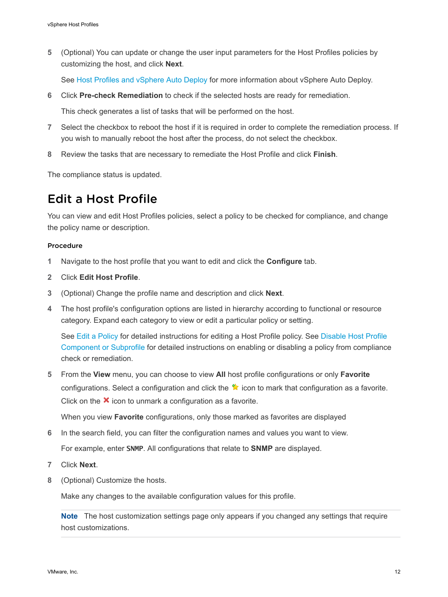<span id="page-11-0"></span>**5** (Optional) You can update or change the user input parameters for the Host Profiles policies by customizing the host, and click **Next**.

See [Host Profiles and vSphere Auto Deploy](#page-16-0) for more information about vSphere Auto Deploy.

**6** Click **Pre-check Remediation** to check if the selected hosts are ready for remediation.

This check generates a list of tasks that will be performed on the host.

- **7** Select the checkbox to reboot the host if it is required in order to complete the remediation process. If you wish to manually reboot the host after the process, do not select the checkbox.
- **8** Review the tasks that are necessary to remediate the Host Profile and click **Finish**.

The compliance status is updated.

## Edit a Host Profile

You can view and edit Host Profiles policies, select a policy to be checked for compliance, and change the policy name or description.

#### Procedure

- **1** Navigate to the host profile that you want to edit and click the **Configure** tab.
- **2** Click **Edit Host Profile**.
- **3** (Optional) Change the profile name and description and click **Next**.
- **4** The host profile's configuration options are listed in hierarchy according to functional or resource category. Expand each category to view or edit a particular policy or setting.

See [Edit a Policy](#page-12-0) for detailed instructions for editing a Host Profile policy. See [Disable Host Profile](#page-15-0) [Component or Subprofile](#page-15-0) for detailed instructions on enabling or disabling a policy from compliance check or remediation.

**5** From the **View** menu, you can choose to view **All** host profile configurations or only **Favorite** configurations. Select a configuration and click the  $\bullet$  icon to mark that configuration as a favorite. Click on the  $\mathbf{\times}$  icon to unmark a configuration as a favorite.

When you view **Favorite** configurations, only those marked as favorites are displayed

- **6** In the search field, you can filter the configuration names and values you want to view. For example, enter **SNMP**. All configurations that relate to **SNMP** are displayed.
- **7** Click **Next**.
- **8** (Optional) Customize the hosts.

Make any changes to the available configuration values for this profile.

**Note** The host customization settings page only appears if you changed any settings that require host customizations.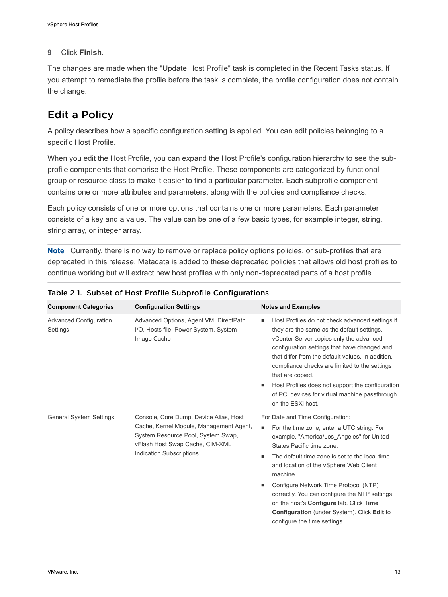## <span id="page-12-0"></span>**9** Click **Finish**.

The changes are made when the "Update Host Profile" task is completed in the Recent Tasks status. If you attempt to remediate the profile before the task is complete, the profile configuration does not contain the change.

## Edit a Policy

A policy describes how a specific configuration setting is applied. You can edit policies belonging to a specific Host Profile.

When you edit the Host Profile, you can expand the Host Profile's configuration hierarchy to see the subprofile components that comprise the Host Profile. These components are categorized by functional group or resource class to make it easier to find a particular parameter. Each subprofile component contains one or more attributes and parameters, along with the policies and compliance checks.

Each policy consists of one or more options that contains one or more parameters. Each parameter consists of a key and a value. The value can be one of a few basic types, for example integer, string, string array, or integer array.

**Note** Currently, there is no way to remove or replace policy options policies, or sub-profiles that are deprecated in this release. Metadata is added to these deprecated policies that allows old host profiles to continue working but will extract new host profiles with only non-deprecated parts of a host profile.

| <b>Component Categories</b>               | <b>Configuration Settings</b>                                                                                                                                                          | <b>Notes and Examples</b>                                                                                                                                                                                                                                                                                                                                                                                                                                                                           |
|-------------------------------------------|----------------------------------------------------------------------------------------------------------------------------------------------------------------------------------------|-----------------------------------------------------------------------------------------------------------------------------------------------------------------------------------------------------------------------------------------------------------------------------------------------------------------------------------------------------------------------------------------------------------------------------------------------------------------------------------------------------|
| <b>Advanced Configuration</b><br>Settings | Advanced Options, Agent VM, DirectPath<br>I/O, Hosts file, Power System, System<br>Image Cache                                                                                         | Host Profiles do not check advanced settings if<br>they are the same as the default settings.<br>vCenter Server copies only the advanced<br>configuration settings that have changed and<br>that differ from the default values. In addition.<br>compliance checks are limited to the settings<br>that are copied.<br>Host Profiles does not support the configuration<br>٠<br>of PCI devices for virtual machine passthrough<br>on the ESXi host.                                                  |
| <b>General System Settings</b>            | Console, Core Dump, Device Alias, Host<br>Cache, Kernel Module, Management Agent,<br>System Resource Pool, System Swap,<br>vFlash Host Swap Cache, CIM-XML<br>Indication Subscriptions | For Date and Time Configuration:<br>For the time zone, enter a UTC string. For<br>٠<br>example, "America/Los Angeles" for United<br>States Pacific time zone.<br>The default time zone is set to the local time<br>٠<br>and location of the vSphere Web Client<br>machine.<br>Configure Network Time Protocol (NTP)<br>٠<br>correctly. You can configure the NTP settings<br>on the host's Configure tab. Click Time<br>Configuration (under System). Click Edit to<br>configure the time settings. |

## Table 2‑1. Subset of Host Profile Subprofile Configurations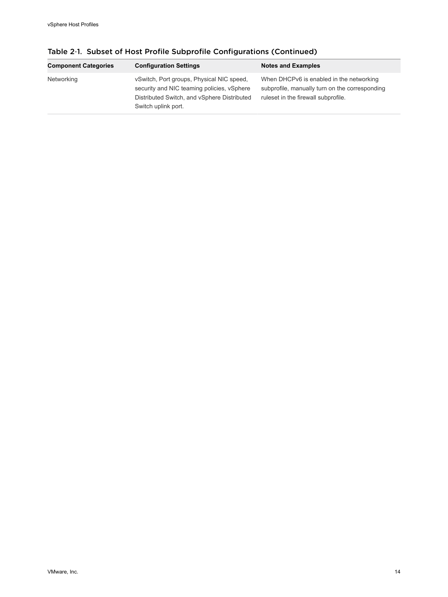| <b>Component Categories</b> | <b>Configuration Settings</b>                                                                                                                                 | <b>Notes and Examples</b>                                                                                                         |
|-----------------------------|---------------------------------------------------------------------------------------------------------------------------------------------------------------|-----------------------------------------------------------------------------------------------------------------------------------|
| Networking                  | vSwitch, Port groups, Physical NIC speed,<br>security and NIC teaming policies, vSphere<br>Distributed Switch, and vSphere Distributed<br>Switch uplink port. | When DHCPv6 is enabled in the networking<br>subprofile, manually turn on the corresponding<br>ruleset in the firewall subprofile. |

Table 2‑1. Subset of Host Profile Subprofile Configurations (Continued)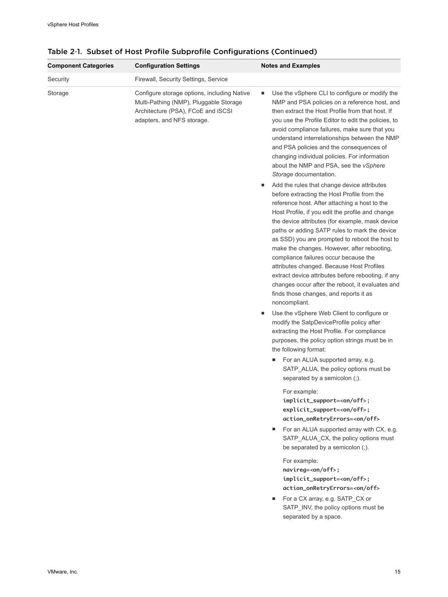| <b>Component Categories</b> | <b>Configuration Settings</b>                                                                                                                             | <b>Notes and Examples</b>                                                                                                                                                                                                                                                                                                                                                                                                                                                                                                                                                                                                                                            |
|-----------------------------|-----------------------------------------------------------------------------------------------------------------------------------------------------------|----------------------------------------------------------------------------------------------------------------------------------------------------------------------------------------------------------------------------------------------------------------------------------------------------------------------------------------------------------------------------------------------------------------------------------------------------------------------------------------------------------------------------------------------------------------------------------------------------------------------------------------------------------------------|
| Security                    | Firewall, Security Settings, Service                                                                                                                      |                                                                                                                                                                                                                                                                                                                                                                                                                                                                                                                                                                                                                                                                      |
| Storage                     | Configure storage options, including Native<br>Multi-Pathing (NMP), Pluggable Storage<br>Architecture (PSA), FCoE and iSCSI<br>adapters, and NFS storage. | Use the vSphere CLI to configure or modify the<br>٠<br>NMP and PSA policies on a reference host, and<br>then extract the Host Profile from that host. If<br>you use the Profile Editor to edit the policies, to<br>avoid compliance failures, make sure that you<br>understand interrelationships between the NMP<br>and PSA policies and the consequences of<br>changing individual policies. For information<br>about the NMP and PSA, see the vSphere<br>Storage documentation.                                                                                                                                                                                   |
|                             |                                                                                                                                                           | Add the rules that change device attributes<br>ш<br>before extracting the Host Profile from the<br>reference host. After attaching a host to the<br>Host Profile, if you edit the profile and change<br>the device attributes (for example, mask device<br>paths or adding SATP rules to mark the device<br>as SSD) you are prompted to reboot the host to<br>make the changes. However, after rebooting,<br>compliance failures occur because the<br>attributes changed. Because Host Profiles<br>extract device attributes before rebooting, if any<br>changes occur after the reboot, it evaluates and<br>finds those changes, and reports it as<br>noncompliant. |
|                             |                                                                                                                                                           | Use the vSphere Web Client to configure or<br>п<br>modify the SatpDeviceProfile policy after<br>extracting the Host Profile. For compliance<br>purposes, the policy option strings must be in<br>the following format:                                                                                                                                                                                                                                                                                                                                                                                                                                               |
|                             |                                                                                                                                                           | For an ALUA supported array, e.g.<br>٠<br>SATP_ALUA, the policy options must be<br>separated by a semicolon (;).                                                                                                                                                                                                                                                                                                                                                                                                                                                                                                                                                     |
|                             |                                                                                                                                                           | For example:<br>implicit_support= <on off="">;<br/>explicit_support=<on off="">;<br/>action_onRetryErrors=<on off=""><br/>For an ALUA supported array with CX, e.g.<br/>٠<br/>SATP_ALUA_CX, the policy options must</on></on></on>                                                                                                                                                                                                                                                                                                                                                                                                                                   |
|                             |                                                                                                                                                           | be separated by a semicolon (;).<br>For example:<br>navireg= <on off="">;<br/>implicit_support=<on off="">;<br/>action_onRetryErrors=<on off=""><br/>For a CX array, e.g. SATP_CX or<br/>٠<br/>SATP_INV, the policy options must be<br/>separated by a space.</on></on></on>                                                                                                                                                                                                                                                                                                                                                                                         |
|                             |                                                                                                                                                           |                                                                                                                                                                                                                                                                                                                                                                                                                                                                                                                                                                                                                                                                      |

Table 2‑1. Subset of Host Profile Subprofile Configurations (Continued)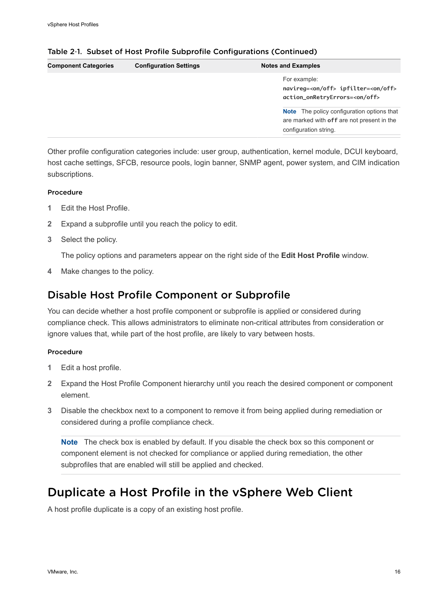| <b>Component Categories</b> | <b>Configuration Settings</b> | <b>Notes and Examples</b>                                                                                                |
|-----------------------------|-------------------------------|--------------------------------------------------------------------------------------------------------------------------|
|                             |                               | For example:<br>navireq= <on off=""> ipfilter=<on off=""><br/>action_onRetryErrors=<on off=""></on></on></on>            |
|                             |                               | <b>Note</b> The policy configuration options that<br>are marked with off are not present in the<br>configuration string. |

## <span id="page-15-0"></span>Table 2‑1. Subset of Host Profile Subprofile Configurations (Continued)

Other profile configuration categories include: user group, authentication, kernel module, DCUI keyboard, host cache settings, SFCB, resource pools, login banner, SNMP agent, power system, and CIM indication subscriptions.

## Procedure

- **1** Edit the Host Profile.
- **2** Expand a subprofile until you reach the policy to edit.
- **3** Select the policy.

The policy options and parameters appear on the right side of the **Edit Host Profile** window.

**4** Make changes to the policy.

## Disable Host Profile Component or Subprofile

You can decide whether a host profile component or subprofile is applied or considered during compliance check. This allows administrators to eliminate non-critical attributes from consideration or ignore values that, while part of the host profile, are likely to vary between hosts.

#### Procedure

- **1** Edit a host profile.
- **2** Expand the Host Profile Component hierarchy until you reach the desired component or component element.
- **3** Disable the checkbox next to a component to remove it from being applied during remediation or considered during a profile compliance check.

**Note** The check box is enabled by default. If you disable the check box so this component or component element is not checked for compliance or applied during remediation, the other subprofiles that are enabled will still be applied and checked.

## Duplicate a Host Profile in the vSphere Web Client

A host profile duplicate is a copy of an existing host profile.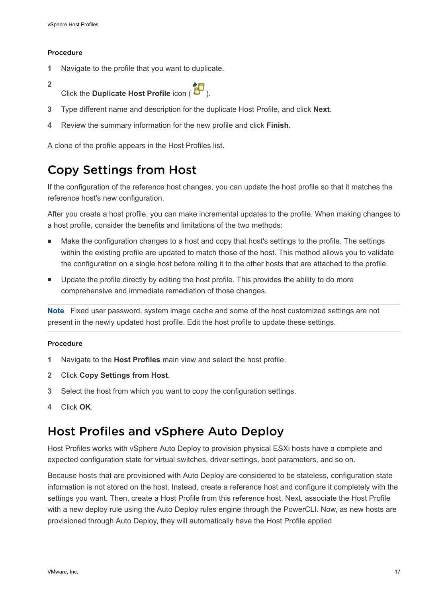## <span id="page-16-0"></span>Procedure

- **1** Navigate to the profile that you want to duplicate.
- **2**

Click the **Duplicate Host Profile** icon (



- **3** Type different name and description for the duplicate Host Profile, and click **Next**.
- **4** Review the summary information for the new profile and click **Finish**.

A clone of the profile appears in the Host Profiles list.

## Copy Settings from Host

If the configuration of the reference host changes, you can update the host profile so that it matches the reference host's new configuration.

After you create a host profile, you can make incremental updates to the profile. When making changes to a host profile, consider the benefits and limitations of the two methods:

- <sup>n</sup> Make the configuration changes to a host and copy that host's settings to the profile. The settings within the existing profile are updated to match those of the host. This method allows you to validate the configuration on a single host before rolling it to the other hosts that are attached to the profile.
- <sup>n</sup> Update the profile directly by editing the host profile. This provides the ability to do more comprehensive and immediate remediation of those changes.

**Note** Fixed user password, system image cache and some of the host customized settings are not present in the newly updated host profile. Edit the host profile to update these settings.

## Procedure

- **1** Navigate to the **Host Profiles** main view and select the host profile.
- **2** Click **Copy Settings from Host**.
- **3** Select the host from which you want to copy the configuration settings.
- **4** Click **OK**.

## Host Profiles and vSphere Auto Deploy

Host Profiles works with vSphere Auto Deploy to provision physical ESXi hosts have a complete and expected configuration state for virtual switches, driver settings, boot parameters, and so on.

Because hosts that are provisioned with Auto Deploy are considered to be stateless, configuration state information is not stored on the host. Instead, create a reference host and configure it completely with the settings you want. Then, create a Host Profile from this reference host. Next, associate the Host Profile with a new deploy rule using the Auto Deploy rules engine through the PowerCLI. Now, as new hosts are provisioned through Auto Deploy, they will automatically have the Host Profile applied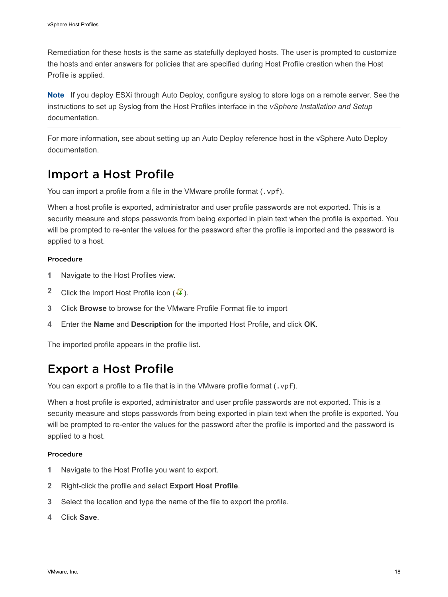<span id="page-17-0"></span>Remediation for these hosts is the same as statefully deployed hosts. The user is prompted to customize the hosts and enter answers for policies that are specified during Host Profile creation when the Host Profile is applied.

**Note** If you deploy ESXi through Auto Deploy, configure syslog to store logs on a remote server. See the instructions to set up Syslog from the Host Profiles interface in the *vSphere Installation and Setup* documentation.

For more information, see about setting up an Auto Deploy reference host in the vSphere Auto Deploy documentation.

## Import a Host Profile

You can import a profile from a file in the VMware profile format (.vpf).

When a host profile is exported, administrator and user profile passwords are not exported. This is a security measure and stops passwords from being exported in plain text when the profile is exported. You will be prompted to re-enter the values for the password after the profile is imported and the password is applied to a host.

## Procedure

- **1** Navigate to the Host Profiles view.
- **2** Click the Import Host Profile icon  $(\sqrt{4})$ .
- **3** Click **Browse** to browse for the VMware Profile Format file to import
- **4** Enter the **Name** and **Description** for the imported Host Profile, and click **OK**.

The imported profile appears in the profile list.

## Export a Host Profile

You can export a profile to a file that is in the VMware profile format (.vpf).

When a host profile is exported, administrator and user profile passwords are not exported. This is a security measure and stops passwords from being exported in plain text when the profile is exported. You will be prompted to re-enter the values for the password after the profile is imported and the password is applied to a host.

#### Procedure

- **1** Navigate to the Host Profile you want to export.
- **2** Right-click the profile and select **Export Host Profile**.
- **3** Select the location and type the name of the file to export the profile.
- **4** Click **Save**.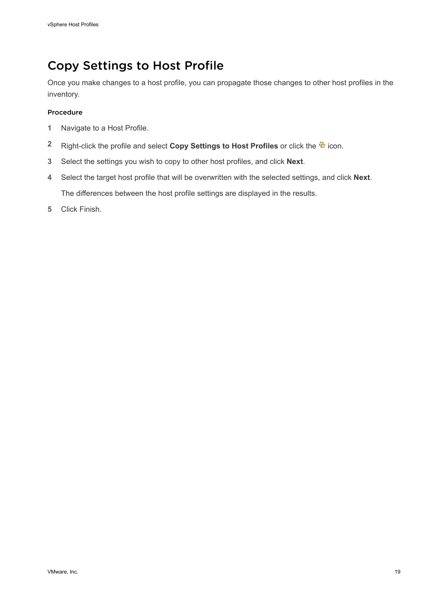## <span id="page-18-0"></span>Copy Settings to Host Profile

Once you make changes to a host profile, you can propagate those changes to other host profiles in the inventory.

## Procedure

- **1** Navigate to a Host Profile.
- 2 Right-click the profile and select **Copy Settings to Host Profiles** or click the <sup>4</sup> icon.
- **3** Select the settings you wish to copy to other host profiles, and click **Next**.
- **4** Select the target host profile that will be overwritten with the selected settings, and click **Next**. The differences between the host profile settings are displayed in the results.
- **5** Click Finish.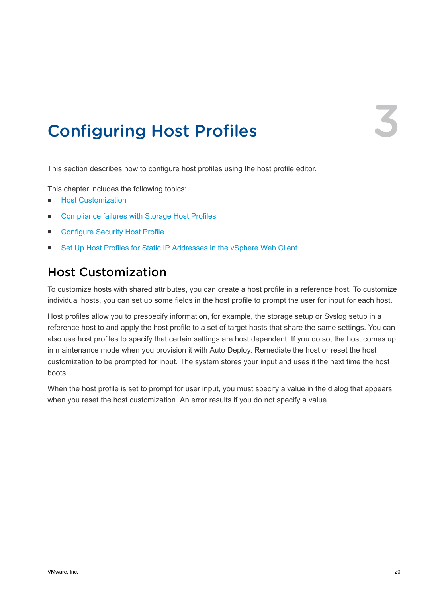## <span id="page-19-0"></span>**Configuring Host Profiles**

This section describes how to configure host profiles using the host profile editor.

This chapter includes the following topics:

- **n** Host Customization
- **EXECOMPLE COMPLIANCE FAILURES** with Storage Host Profiles
- [Configure Security Host Profile](#page-25-0)
- [Set Up Host Profiles for Static IP Addresses in the vSphere Web Client](#page-26-0)

## Host Customization

To customize hosts with shared attributes, you can create a host profile in a reference host. To customize individual hosts, you can set up some fields in the host profile to prompt the user for input for each host.

Host profiles allow you to prespecify information, for example, the storage setup or Syslog setup in a reference host to and apply the host profile to a set of target hosts that share the same settings. You can also use host profiles to specify that certain settings are host dependent. If you do so, the host comes up in maintenance mode when you provision it with Auto Deploy. Remediate the host or reset the host customization to be prompted for input. The system stores your input and uses it the next time the host boots.

When the host profile is set to prompt for user input, you must specify a value in the dialog that appears when you reset the host customization. An error results if you do not specify a value.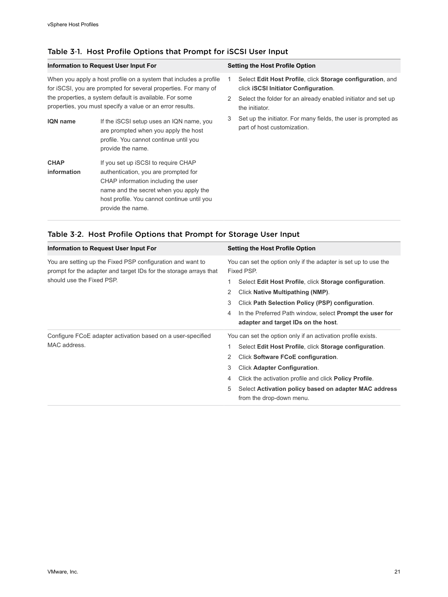| Information to Request User Input For                                                                                                                                                                                                                        |                                                                                                                                                 | <b>Setting the Host Profile Option</b> |                                                                                                           |
|--------------------------------------------------------------------------------------------------------------------------------------------------------------------------------------------------------------------------------------------------------------|-------------------------------------------------------------------------------------------------------------------------------------------------|----------------------------------------|-----------------------------------------------------------------------------------------------------------|
| When you apply a host profile on a system that includes a profile<br>for iSCSI, you are prompted for several properties. For many of<br>the properties, a system default is available. For some<br>properties, you must specify a value or an error results. |                                                                                                                                                 |                                        | Select Edit Host Profile, click Storage configuration, and<br>click <b>iSCSI</b> Initiator Configuration. |
|                                                                                                                                                                                                                                                              |                                                                                                                                                 | 2                                      | Select the folder for an already enabled initiator and set up<br>the initiator.                           |
| <b>IQN</b> name                                                                                                                                                                                                                                              | If the iSCSI setup uses an IQN name, you<br>are prompted when you apply the host<br>profile. You cannot continue until you<br>provide the name. | 3                                      | Set up the initiator. For many fields, the user is prompted as<br>part of host customization.             |
| <b>CHAP</b><br>information                                                                                                                                                                                                                                   | If you set up iSCSI to require CHAP<br>authentication, you are prompted for<br>CHAP information including the user                              |                                        |                                                                                                           |
|                                                                                                                                                                                                                                                              | name and the secret when you apply the<br>host profile. You cannot continue until you<br>provide the name.                                      |                                        |                                                                                                           |

## Table 3‑1. Host Profile Options that Prompt for iSCSI User Input

| Information to Request User Input For                                                                                                                        | <b>Setting the Host Profile Option</b>                                                                                                                                                                                                                                                                                                                                         |
|--------------------------------------------------------------------------------------------------------------------------------------------------------------|--------------------------------------------------------------------------------------------------------------------------------------------------------------------------------------------------------------------------------------------------------------------------------------------------------------------------------------------------------------------------------|
| You are setting up the Fixed PSP configuration and want to<br>prompt for the adapter and target IDs for the storage arrays that<br>should use the Fixed PSP. | You can set the option only if the adapter is set up to use the<br>Fixed PSP.<br>Select Edit Host Profile, click Storage configuration.<br>1<br>Click Native Multipathing (NMP).<br>2<br>3<br>Click Path Selection Policy (PSP) configuration.<br>In the Preferred Path window, select <b>Prompt the user for</b><br>4<br>adapter and target IDs on the host.                  |
| Configure FCoE adapter activation based on a user-specified<br>MAC address.                                                                                  | You can set the option only if an activation profile exists.<br>Select Edit Host Profile, click Storage configuration.<br>Click Software FCoE configuration.<br>2<br>3<br><b>Click Adapter Configuration.</b><br>Click the activation profile and click <b>Policy Profile</b> .<br>4<br>5<br>Select Activation policy based on adapter MAC address<br>from the drop-down menu. |

## Table 3‑2. Host Profile Options that Prompt for Storage User Input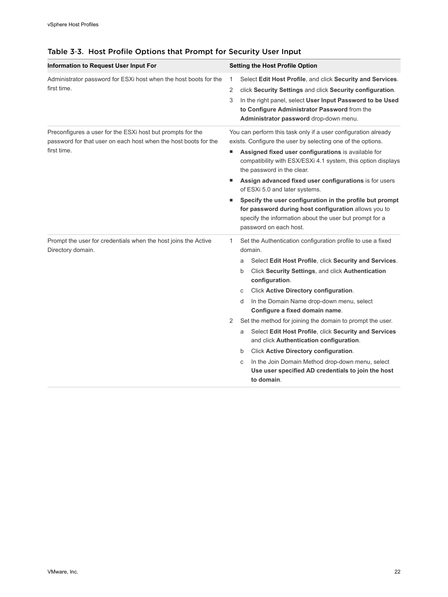| Information to Request User Input For                                                                                         | <b>Setting the Host Profile Option</b>                                                                                                                                                                |
|-------------------------------------------------------------------------------------------------------------------------------|-------------------------------------------------------------------------------------------------------------------------------------------------------------------------------------------------------|
|                                                                                                                               |                                                                                                                                                                                                       |
| Administrator password for ESXi host when the host boots for the<br>first time.                                               | Select Edit Host Profile, and click Security and Services.<br>1                                                                                                                                       |
|                                                                                                                               | click Security Settings and click Security configuration.<br>2                                                                                                                                        |
|                                                                                                                               | In the right panel, select User Input Password to be Used<br>3<br>to Configure Administrator Password from the<br>Administrator password drop-down menu.                                              |
| Preconfigures a user for the ESXi host but prompts for the<br>password for that user on each host when the host boots for the | You can perform this task only if a user configuration already<br>exists. Configure the user by selecting one of the options.                                                                         |
| first time.                                                                                                                   | Assigned fixed user configurations is available for<br>п<br>compatibility with ESX/ESXi 4.1 system, this option displays<br>the password in the clear.                                                |
|                                                                                                                               | Assign advanced fixed user configurations is for users<br>of ESXi 5.0 and later systems.                                                                                                              |
|                                                                                                                               | Specify the user configuration in the profile but prompt<br>for password during host configuration allows you to<br>specify the information about the user but prompt for a<br>password on each host. |
| Prompt the user for credentials when the host joins the Active<br>Directory domain.                                           | Set the Authentication configuration profile to use a fixed<br>1<br>domain.                                                                                                                           |
|                                                                                                                               | Select Edit Host Profile, click Security and Services.<br>a                                                                                                                                           |
|                                                                                                                               | Click Security Settings, and click Authentication<br>b<br>configuration.                                                                                                                              |
|                                                                                                                               | Click Active Directory configuration.<br>С                                                                                                                                                            |
|                                                                                                                               | In the Domain Name drop-down menu, select<br>d<br>Configure a fixed domain name.                                                                                                                      |
|                                                                                                                               | Set the method for joining the domain to prompt the user.<br>2                                                                                                                                        |
|                                                                                                                               | Select Edit Host Profile, click Security and Services<br>a<br>and click Authentication configuration.                                                                                                 |
|                                                                                                                               | Click Active Directory configuration.<br>b                                                                                                                                                            |
|                                                                                                                               | In the Join Domain Method drop-down menu, select<br>C                                                                                                                                                 |
|                                                                                                                               | Use user specified AD credentials to join the host<br>to domain.                                                                                                                                      |

## Table 3‑3. Host Profile Options that Prompt for Security User Input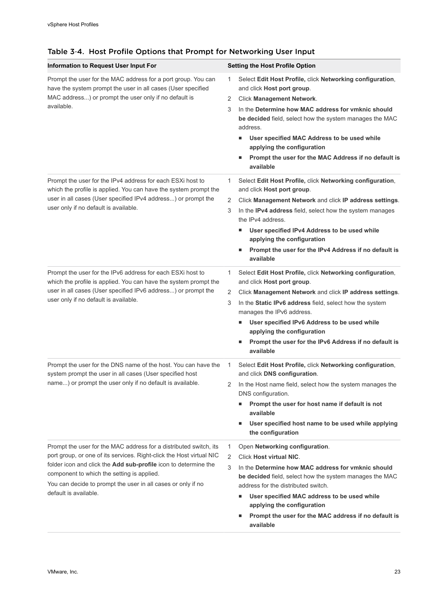| Information to Request User Input For                                                                                                                                                                                                                                                                                                               | <b>Setting the Host Profile Option</b>                                                                                                                                                                                                                                                                                                                                                                                  |
|-----------------------------------------------------------------------------------------------------------------------------------------------------------------------------------------------------------------------------------------------------------------------------------------------------------------------------------------------------|-------------------------------------------------------------------------------------------------------------------------------------------------------------------------------------------------------------------------------------------------------------------------------------------------------------------------------------------------------------------------------------------------------------------------|
| Prompt the user for the MAC address for a port group. You can<br>have the system prompt the user in all cases (User specified<br>MAC address) or prompt the user only if no default is<br>available.                                                                                                                                                | Select Edit Host Profile, click Networking configuration,<br>1<br>and click Host port group.<br>Click Management Network.<br>2<br>In the Determine how MAC address for ymknic should<br>3<br>be decided field, select how the system manages the MAC<br>address.<br>User specified MAC Address to be used while<br>applying the configuration<br>Prompt the user for the MAC Address if no default is<br>٠<br>available |
| Prompt the user for the IPv4 address for each ESXi host to<br>which the profile is applied. You can have the system prompt the<br>user in all cases (User specified IPv4 address) or prompt the<br>user only if no default is available.                                                                                                            | Select Edit Host Profile, click Networking configuration,<br>1<br>and click Host port group.<br>2<br>Click Management Network and click IP address settings.<br>In the IPv4 address field, select how the system manages<br>3<br>the IPv4 address.<br>User specified IPv4 Address to be used while<br>٠<br>applying the configuration<br>Prompt the user for the IPv4 Address if no default is<br>٠<br>available        |
| Prompt the user for the IPv6 address for each ESXi host to<br>which the profile is applied. You can have the system prompt the<br>user in all cases (User specified IPv6 address) or prompt the<br>user only if no default is available.                                                                                                            | Select Edit Host Profile, click Networking configuration,<br>1<br>and click Host port group.<br>2<br>Click Management Network and click IP address settings.<br>In the Static IPv6 address field, select how the system<br>3<br>manages the IPv6 address.<br>User specified IPv6 Address to be used while<br>ш<br>applying the configuration<br>Prompt the user for the IPv6 Address if no default is<br>ш<br>available |
| Prompt the user for the DNS name of the host. You can have the<br>system prompt the user in all cases (User specified host<br>name) or prompt the user only if no default is available.                                                                                                                                                             | Select Edit Host Profile, click Networking configuration,<br>1<br>and click DNS configuration.<br>2<br>In the Host name field, select how the system manages the<br>DNS configuration.<br>Prompt the user for host name if default is not<br>ш<br>available<br>User specified host name to be used while applying<br>ш<br>the configuration                                                                             |
| Prompt the user for the MAC address for a distributed switch, its<br>port group, or one of its services. Right-click the Host virtual NIC<br>folder icon and click the Add sub-profile icon to determine the<br>component to which the setting is applied.<br>You can decide to prompt the user in all cases or only if no<br>default is available. | Open Networking configuration.<br>1<br><b>Click Host virtual NIC.</b><br>2<br>3<br>In the Determine how MAC address for ymknic should<br>be decided field, select how the system manages the MAC<br>address for the distributed switch.<br>User specified MAC address to be used while<br>applying the configuration<br>Prompt the user for the MAC address if no default is<br>٠<br>available                          |

## Table 3‑4. Host Profile Options that Prompt for Networking User Input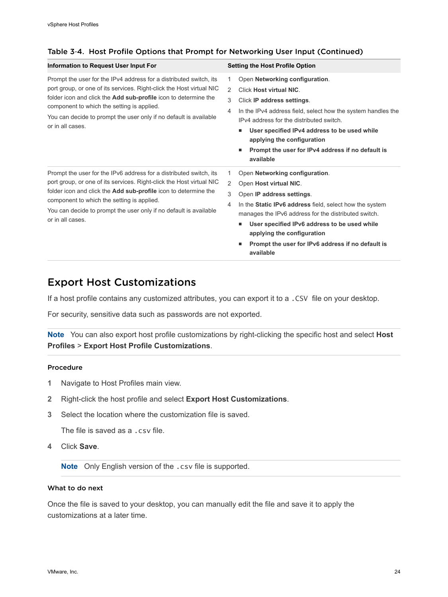| Information to Request User Input For                                                                                                                                                                                                                                                                                                                       | <b>Setting the Host Profile Option</b>                                                                                                                                                                                                                                                                                                                                         |
|-------------------------------------------------------------------------------------------------------------------------------------------------------------------------------------------------------------------------------------------------------------------------------------------------------------------------------------------------------------|--------------------------------------------------------------------------------------------------------------------------------------------------------------------------------------------------------------------------------------------------------------------------------------------------------------------------------------------------------------------------------|
| Prompt the user for the IPv4 address for a distributed switch, its<br>port group, or one of its services. Right-click the Host virtual NIC<br>folder icon and click the <b>Add sub-profile</b> icon to determine the<br>component to which the setting is applied.<br>You can decide to prompt the user only if no default is available<br>or in all cases. | Open Networking configuration.<br>1<br>2<br><b>Click Host virtual NIC.</b><br>3<br>Click IP address settings.<br>In the IPv4 address field, select how the system handles the<br>4<br>IPv4 address for the distributed switch.<br>User specified IPv4 address to be used while<br>applying the configuration<br>Prompt the user for IPv4 address if no default is<br>available |
| Prompt the user for the IPv6 address for a distributed switch, its<br>port group, or one of its services. Right-click the Host virtual NIC<br>folder icon and click the Add sub-profile icon to determine the<br>component to which the setting is applied.<br>You can decide to prompt the user only if no default is available<br>or in all cases.        | Open Networking configuration.<br>1<br>2<br>Open Host virtual NIC.<br>3<br>Open IP address settings.<br>In the Static IPv6 address field, select how the system<br>4<br>manages the IPv6 address for the distributed switch.<br>User specified IPv6 address to be used while<br>applying the configuration<br>Prompt the user for IPv6 address if no default is<br>available   |

#### Table 3‑4. Host Profile Options that Prompt for Networking User Input (Continued)

## Export Host Customizations

If a host profile contains any customized attributes, you can export it to a .CSV file on your desktop.

For security, sensitive data such as passwords are not exported.

**Note** You can also export host profile customizations by right-clicking the specific host and select **Host Profiles** > **Export Host Profile Customizations**.

#### Procedure

- **1** Navigate to Host Profiles main view.
- **2** Right-click the host profile and select **Export Host Customizations**.
- **3** Select the location where the customization file is saved.

The file is saved as a .csv file.

**4** Click **Save**.

**Note** Only English version of the .csv file is supported.

#### What to do next

Once the file is saved to your desktop, you can manually edit the file and save it to apply the customizations at a later time.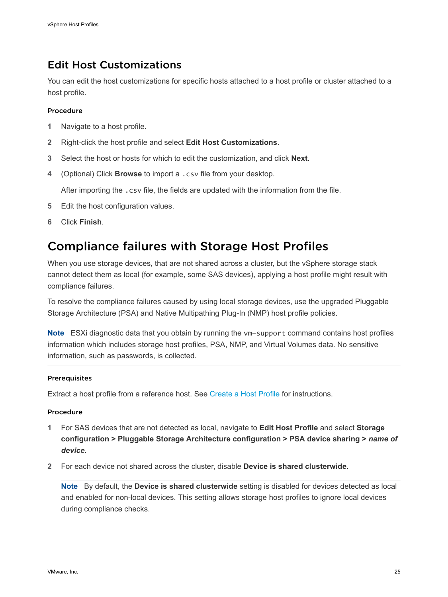## <span id="page-24-0"></span>Edit Host Customizations

You can edit the host customizations for specific hosts attached to a host profile or cluster attached to a host profile.

#### Procedure

- **1** Navigate to a host profile.
- **2** Right-click the host profile and select **Edit Host Customizations**.
- **3** Select the host or hosts for which to edit the customization, and click **Next**.
- **4** (Optional) Click **Browse** to import a .csv file from your desktop.

After importing the .csv file, the fields are updated with the information from the file.

- **5** Edit the host configuration values.
- **6** Click **Finish**.

## Compliance failures with Storage Host Profiles

When you use storage devices, that are not shared across a cluster, but the vSphere storage stack cannot detect them as local (for example, some SAS devices), applying a host profile might result with compliance failures.

To resolve the compliance failures caused by using local storage devices, use the upgraded Pluggable Storage Architecture (PSA) and Native Multipathing Plug-In (NMP) host profile policies.

**Note** ESXi diagnostic data that you obtain by running the vm-support command contains host profiles information which includes storage host profiles, PSA, NMP, and Virtual Volumes data. No sensitive information, such as passwords, is collected.

#### Prerequisites

Extract a host profile from a reference host. See [Create a Host Profile](#page-8-0) for instructions.

#### Procedure

- **1** For SAS devices that are not detected as local, navigate to **Edit Host Profile** and select **Storage configuration > Pluggable Storage Architecture configuration > PSA device sharing >** *name of device*.
- **2** For each device not shared across the cluster, disable **Device is shared clusterwide**.

**Note** By default, the **Device is shared clusterwide** setting is disabled for devices detected as local and enabled for non-local devices. This setting allows storage host profiles to ignore local devices during compliance checks.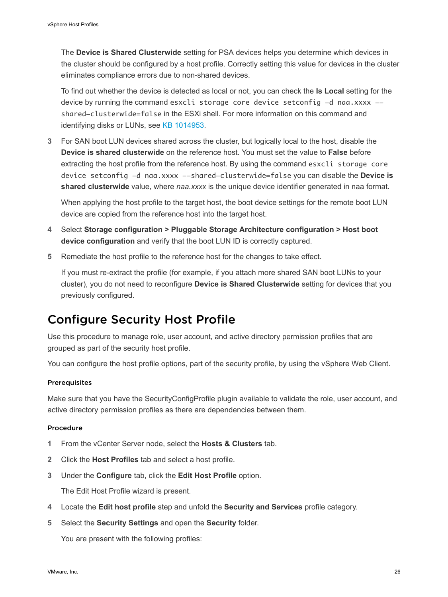<span id="page-25-0"></span>The **Device is Shared Clusterwide** setting for PSA devices helps you determine which devices in the cluster should be configured by a host profile. Correctly setting this value for devices in the cluster eliminates compliance errors due to non-shared devices.

To find out whether the device is detected as local or not, you can check the **Is Local** setting for the device by running the command esxcli storage core device setconfig -d naa.xxxx -shared-clusterwide=false in the ESXi shell. For more information on this command and identifying disks or LUNs, see [KB 1014953.](http://kb.vmware.com/kb/1014953)

**3** For SAN boot LUN devices shared across the cluster, but logically local to the host, disable the **Device is shared clusterwide** on the reference host. You must set the value to **False** before extracting the host profile from the reference host. By using the command esxcli storage core device setconfig -d naa.xxxx --shared-clusterwide=false you can disable the **Device is shared clusterwide** value, where *naa.xxxx* is the unique device identifier generated in naa format.

When applying the host profile to the target host, the boot device settings for the remote boot LUN device are copied from the reference host into the target host.

- **4** Select **Storage configuration > Pluggable Storage Architecture configuration > Host boot device configuration** and verify that the boot LUN ID is correctly captured.
- **5** Remediate the host profile to the reference host for the changes to take effect.

If you must re-extract the profile (for example, if you attach more shared SAN boot LUNs to your cluster), you do not need to reconfigure **Device is Shared Clusterwide** setting for devices that you previously configured.

## Configure Security Host Profile

Use this procedure to manage role, user account, and active directory permission profiles that are grouped as part of the security host profile.

You can configure the host profile options, part of the security profile, by using the vSphere Web Client.

#### **Prerequisites**

Make sure that you have the SecurityConfigProfile plugin available to validate the role, user account, and active directory permission profiles as there are dependencies between them.

#### Procedure

- **1** From the vCenter Server node, select the **Hosts & Clusters** tab.
- **2** Click the **Host Profiles** tab and select a host profile.
- **3** Under the **Configure** tab, click the **Edit Host Profile** option.

The Edit Host Profile wizard is present.

- **4** Locate the **Edit host profile** step and unfold the **Security and Services** profile category.
- **5** Select the **Security Settings** and open the **Security** folder.

You are present with the following profiles: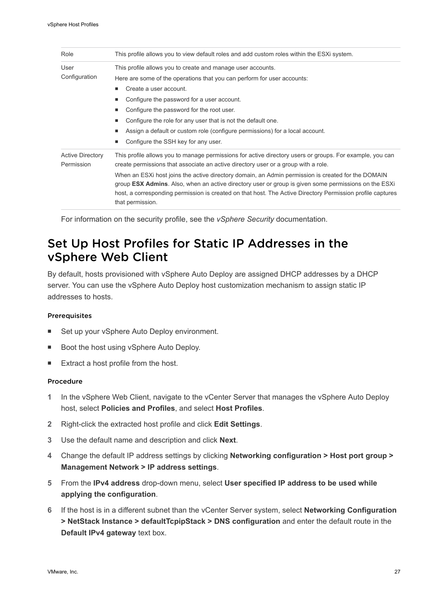<span id="page-26-0"></span>

| Role                                  | This profile allows you to view default roles and add custom roles within the ESXi system.                                                                                                                                                                                                                                                                                                                                                                                                                                                             |
|---------------------------------------|--------------------------------------------------------------------------------------------------------------------------------------------------------------------------------------------------------------------------------------------------------------------------------------------------------------------------------------------------------------------------------------------------------------------------------------------------------------------------------------------------------------------------------------------------------|
| User<br>Configuration                 | This profile allows you to create and manage user accounts.<br>Here are some of the operations that you can perform for user accounts:<br>Create a user account.<br>٠<br>Configure the password for a user account.<br>٠<br>Configure the password for the root user.<br>٠<br>Configure the role for any user that is not the default one.<br>٠<br>Assign a default or custom role (configure permissions) for a local account.<br>٠<br>Configure the SSH key for any user.<br>٠                                                                       |
| <b>Active Directory</b><br>Permission | This profile allows you to manage permissions for active directory users or groups. For example, you can<br>create permissions that associate an active directory user or a group with a role.<br>When an ESXi host joins the active directory domain, an Admin permission is created for the DOMAIN<br>group <b>ESX Admins</b> . Also, when an active directory user or group is given some permissions on the ESXi<br>host, a corresponding permission is created on that host. The Active Directory Permission profile captures<br>that permission. |

For information on the security profile, see the *vSphere Security* documentation.

## Set Up Host Profiles for Static IP Addresses in the vSphere Web Client

By default, hosts provisioned with vSphere Auto Deploy are assigned DHCP addresses by a DHCP server. You can use the vSphere Auto Deploy host customization mechanism to assign static IP addresses to hosts.

#### Prerequisites

- Set up your vSphere Auto Deploy environment.
- Boot the host using vSphere Auto Deploy.
- Extract a host profile from the host.

#### Procedure

- **1** In the vSphere Web Client, navigate to the vCenter Server that manages the vSphere Auto Deploy host, select **Policies and Profiles**, and select **Host Profiles**.
- **2** Right-click the extracted host profile and click **Edit Settings**.
- **3** Use the default name and description and click **Next**.
- **4** Change the default IP address settings by clicking **Networking configuration > Host port group > Management Network > IP address settings**.
- **5** From the **IPv4 address** drop-down menu, select **User specified IP address to be used while applying the configuration**.
- **6** If the host is in a different subnet than the vCenter Server system, select **Networking Configuration > NetStack Instance > defaultTcpipStack > DNS configuration** and enter the default route in the **Default IPv4 gateway** text box.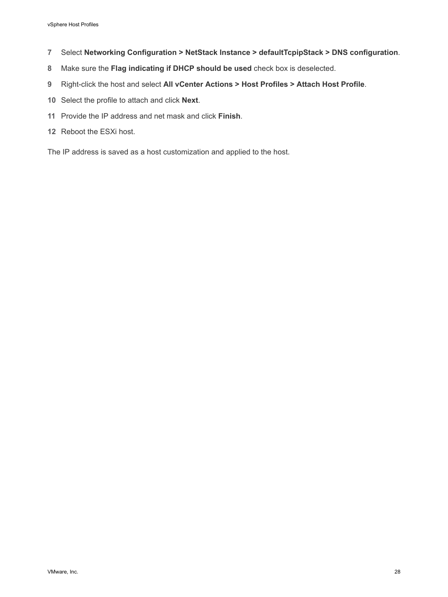- Select **Networking Configuration > NetStack Instance > defaultTcpipStack > DNS configuration**.
- Make sure the **Flag indicating if DHCP should be used** check box is deselected.
- Right-click the host and select **All vCenter Actions > Host Profiles > Attach Host Profile**.
- Select the profile to attach and click **Next**.
- Provide the IP address and net mask and click **Finish**.
- Reboot the ESXi host.

The IP address is saved as a host customization and applied to the host.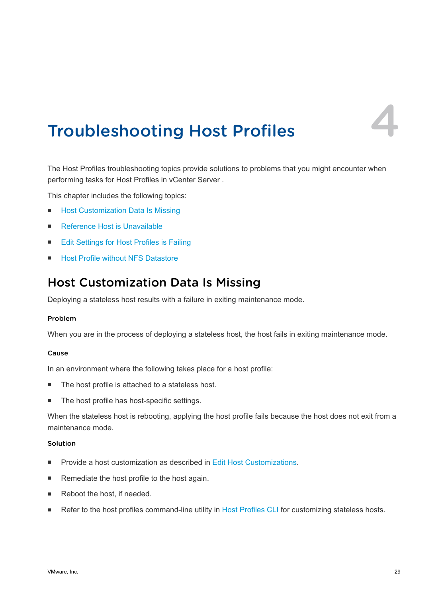

# <span id="page-28-0"></span>Troubleshooting Host Profiles 4

The Host Profiles troubleshooting topics provide solutions to problems that you might encounter when performing tasks for Host Profiles in vCenter Server .

This chapter includes the following topics:

- Host Customization Data Is Missing
- [Reference Host is Unavailable](#page-29-0)
- [Edit Settings for Host Profiles is Failing](#page-29-0)
- [Host Profile without NFS Datastore](#page-30-0)

## Host Customization Data Is Missing

Deploying a stateless host results with a failure in exiting maintenance mode.

#### Problem

When you are in the process of deploying a stateless host, the host fails in exiting maintenance mode.

#### Cause

In an environment where the following takes place for a host profile:

- The host profile is attached to a stateless host.
- The host profile has host-specific settings.

When the stateless host is rebooting, applying the host profile fails because the host does not exit from a maintenance mode.

## Solution

- Provide a host customization as described in [Edit Host Customizations](#page-24-0).
- Remediate the host profile to the host again.
- Reboot the host, if needed.
- Refer to the host profiles command-line utility in [Host Profiles CLI](https://labs.vmware.com/flings/host-profiles-cli) for customizing stateless hosts.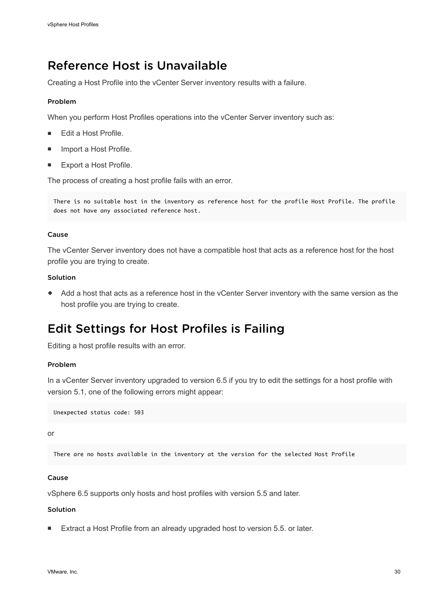## <span id="page-29-0"></span>Reference Host is Unavailable

Creating a Host Profile into the vCenter Server inventory results with a failure.

#### Problem

When you perform Host Profiles operations into the vCenter Server inventory such as:

- Edit a Host Profile.
- **n** Import a Host Profile.
- **Export a Host Profile.**

The process of creating a host profile fails with an error.

There is no suitable host in the inventory as reference host for the profile Host Profile. The profile does not have any associated reference host.

#### Cause

The vCenter Server inventory does not have a compatible host that acts as a reference host for the host profile you are trying to create.

### Solution

Add a host that acts as a reference host in the vCenter Server inventory with the same version as the host profile you are trying to create.

## Edit Settings for Host Profiles is Failing

Editing a host profile results with an error.

#### Problem

In a vCenter Server inventory upgraded to version 6.5 if you try to edit the settings for a host profile with version 5.1, one of the following errors might appear:

Unexpected status code: 503

or

There are no hosts available in the inventory at the version for the selected Host Profile

#### Cause

vSphere 6.5 supports only hosts and host profiles with version 5.5 and later.

#### Solution

■ Extract a Host Profile from an already upgraded host to version 5.5. or later.